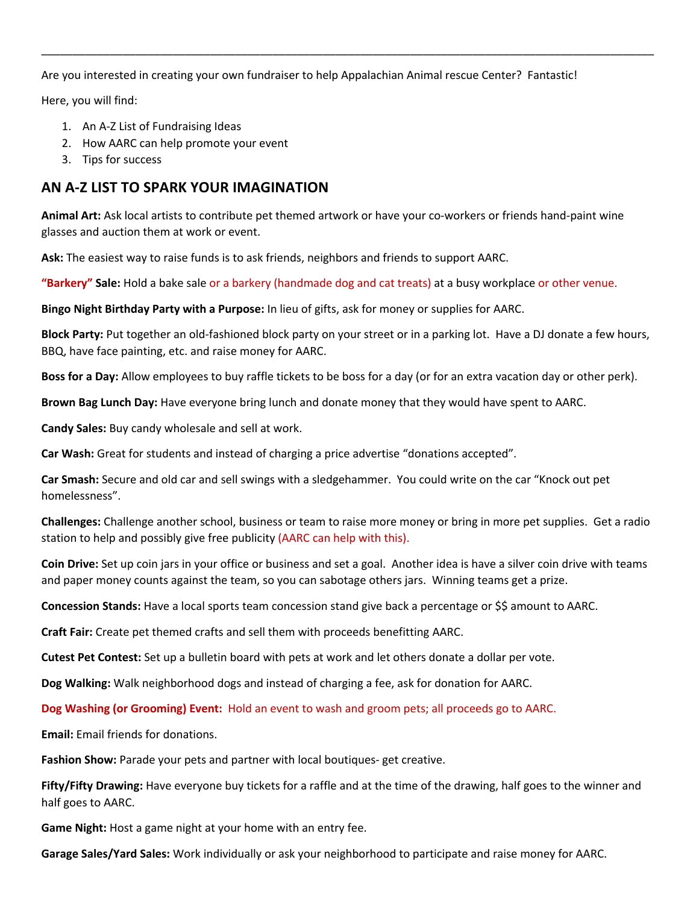Are you interested in creating your own fundraiser to help Appalachian Animal rescue Center? Fantastic!

\_\_\_\_\_\_\_\_\_\_\_\_\_\_\_\_\_\_\_\_\_\_\_\_\_\_\_\_\_\_\_\_\_\_\_\_\_\_\_\_\_\_\_\_\_\_\_\_\_\_\_\_\_\_\_\_\_\_\_\_\_\_\_\_\_\_\_\_\_\_\_\_\_\_\_\_\_\_\_\_\_\_\_\_\_\_\_\_\_\_\_\_\_\_\_\_\_\_

Here, you will find:

- 1. An A-Z List of Fundraising Ideas
- 2. How AARC can help promote your event
- 3. Tips for success

## **AN A-Z LIST TO SPARK YOUR IMAGINATION**

**Animal Art:** Ask local artists to contribute pet themed artwork or have your co-workers or friends hand-paint wine glasses and auction them at work or event.

**Ask:** The easiest way to raise funds is to ask friends, neighbors and friends to support AARC.

**"Barkery" Sale:** Hold a bake sale or a barkery (handmade dog and cat treats) at a busy workplace or other venue.

**Bingo Night Birthday Party with a Purpose:** In lieu of gifts, ask for money or supplies for AARC.

**Block Party:** Put together an old-fashioned block party on your street or in a parking lot. Have a DJ donate a few hours, BBQ, have face painting, etc. and raise money for AARC.

**Boss for a Day:** Allow employees to buy raffle tickets to be boss for a day (or for an extra vacation day or other perk).

**Brown Bag Lunch Day:** Have everyone bring lunch and donate money that they would have spent to AARC.

**Candy Sales:** Buy candy wholesale and sell at work.

**Car Wash:** Great for students and instead of charging a price advertise "donations accepted".

**Car Smash:** Secure and old car and sell swings with a sledgehammer. You could write on the car "Knock out pet homelessness".

**Challenges:** Challenge another school, business or team to raise more money or bring in more pet supplies. Get a radio station to help and possibly give free publicity (AARC can help with this).

**Coin Drive:** Set up coin jars in your office or business and set a goal. Another idea is have a silver coin drive with teams and paper money counts against the team, so you can sabotage others jars. Winning teams get a prize.

**Concession Stands:** Have a local sports team concession stand give back a percentage or \$\$ amount to AARC.

**Craft Fair:** Create pet themed crafts and sell them with proceeds benefitting AARC.

**Cutest Pet Contest:** Set up a bulletin board with pets at work and let others donate a dollar per vote.

**Dog Walking:** Walk neighborhood dogs and instead of charging a fee, ask for donation for AARC.

**Dog Washing (or Grooming) Event:** Hold an event to wash and groom pets; all proceeds go to AARC.

**Email:** Email friends for donations.

**Fashion Show:** Parade your pets and partner with local boutiques- get creative.

**Fifty/Fifty Drawing:** Have everyone buy tickets for a raffle and at the time of the drawing, half goes to the winner and half goes to AARC.

**Game Night:** Host a game night at your home with an entry fee.

**Garage Sales/Yard Sales:** Work individually or ask your neighborhood to participate and raise money for AARC.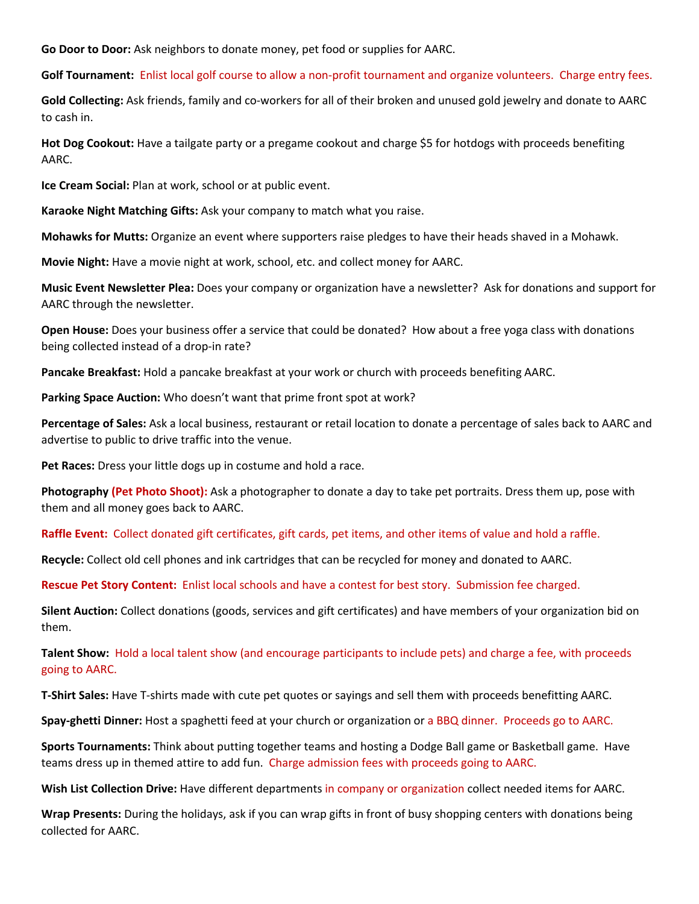**Go Door to Door:** Ask neighbors to donate money, pet food or supplies for AARC.

**Golf Tournament:** Enlist local golf course to allow a non-profit tournament and organize volunteers. Charge entry fees.

**Gold Collecting:** Ask friends, family and co-workers for all of their broken and unused gold jewelry and donate to AARC to cash in.

**Hot Dog Cookout:** Have a tailgate party or a pregame cookout and charge \$5 for hotdogs with proceeds benefiting AARC.

**Ice Cream Social:** Plan at work, school or at public event.

**Karaoke Night Matching Gifts:** Ask your company to match what you raise.

**Mohawks for Mutts:** Organize an event where supporters raise pledges to have their heads shaved in a Mohawk.

**Movie Night:** Have a movie night at work, school, etc. and collect money for AARC.

**Music Event Newsletter Plea:** Does your company or organization have a newsletter? Ask for donations and support for AARC through the newsletter.

**Open House:** Does your business offer a service that could be donated? How about a free yoga class with donations being collected instead of a drop-in rate?

**Pancake Breakfast:** Hold a pancake breakfast at your work or church with proceeds benefiting AARC.

**Parking Space Auction:** Who doesn't want that prime front spot at work?

**Percentage of Sales:** Ask a local business, restaurant or retail location to donate a percentage of sales back to AARC and advertise to public to drive traffic into the venue.

**Pet Races:** Dress your little dogs up in costume and hold a race.

**Photography (Pet Photo Shoot):** Ask a photographer to donate a day to take pet portraits. Dress them up, pose with them and all money goes back to AARC.

**Raffle Event:** Collect donated gift certificates, gift cards, pet items, and other items of value and hold a raffle.

**Recycle:** Collect old cell phones and ink cartridges that can be recycled for money and donated to AARC.

**Rescue Pet Story Content:** Enlist local schools and have a contest for best story. Submission fee charged.

**Silent Auction:** Collect donations (goods, services and gift certificates) and have members of your organization bid on them.

**Talent Show:** Hold a local talent show (and encourage participants to include pets) and charge a fee, with proceeds going to AARC.

**T-Shirt Sales:** Have T-shirts made with cute pet quotes or sayings and sell them with proceeds benefitting AARC.

**Spay-ghetti Dinner:** Host a spaghetti feed at your church or organization or a BBQ dinner. Proceeds go to AARC.

**Sports Tournaments:** Think about putting together teams and hosting a Dodge Ball game or Basketball game. Have teams dress up in themed attire to add fun. Charge admission fees with proceeds going to AARC.

**Wish List Collection Drive:** Have different departments in company or organization collect needed items for AARC.

**Wrap Presents:** During the holidays, ask if you can wrap gifts in front of busy shopping centers with donations being collected for AARC.